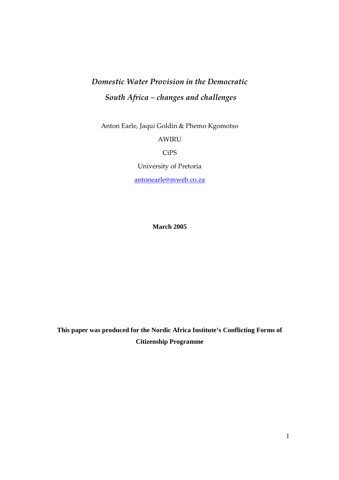# *Domestic Water Provision in the Democratic South Africa – changes and challenges*

Anton Earle, Jaqui Goldin & Phemo Kgomotso AWIRU CiPS University of Pretoria antonearle@mweb.co.za

**March 2005** 

**This paper was produced for the Nordic Africa Institute's Conflicting Forms of Citizenship Programme**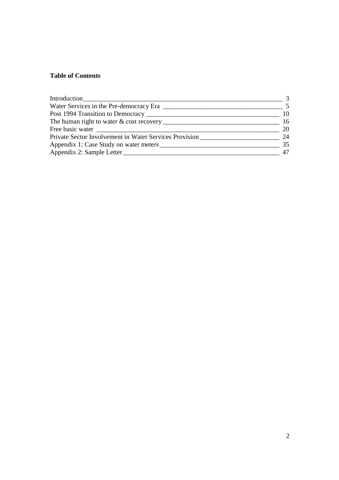## **Table of Contents**

| Water Services in the Pre-democracy Era                |     |
|--------------------------------------------------------|-----|
|                                                        | 10  |
|                                                        | -16 |
|                                                        | 20  |
| Private Sector Involvement in Water Services Provision | 24  |
|                                                        | 35  |
|                                                        | 47  |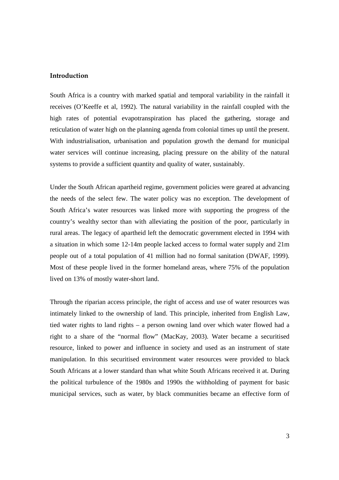#### **Introduction**

South Africa is a country with marked spatial and temporal variability in the rainfall it receives (O'Keeffe et al, 1992). The natural variability in the rainfall coupled with the high rates of potential evapotranspiration has placed the gathering, storage and reticulation of water high on the planning agenda from colonial times up until the present. With industrialisation, urbanisation and population growth the demand for municipal water services will continue increasing, placing pressure on the ability of the natural systems to provide a sufficient quantity and quality of water, sustainably.

Under the South African apartheid regime, government policies were geared at advancing the needs of the select few. The water policy was no exception. The development of South Africa's water resources was linked more with supporting the progress of the country's wealthy sector than with alleviating the position of the poor, particularly in rural areas. The legacy of apartheid left the democratic government elected in 1994 with a situation in which some 12-14m people lacked access to formal water supply and 21m people out of a total population of 41 million had no formal sanitation (DWAF, 1999). Most of these people lived in the former homeland areas, where 75% of the population lived on 13% of mostly water-short land.

Through the riparian access principle, the right of access and use of water resources was intimately linked to the ownership of land. This principle, inherited from English Law, tied water rights to land rights – a person owning land over which water flowed had a right to a share of the "normal flow" (MacKay, 2003). Water became a securitised resource, linked to power and influence in society and used as an instrument of state manipulation. In this securitised environment water resources were provided to black South Africans at a lower standard than what white South Africans received it at. During the political turbulence of the 1980s and 1990s the withholding of payment for basic municipal services, such as water, by black communities became an effective form of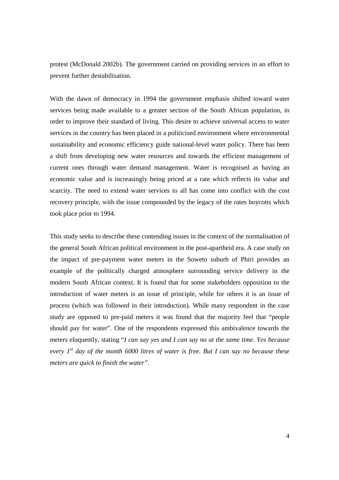protest (McDonald 2002b). The government carried on providing services in an effort to prevent further destabilisation.

With the dawn of democracy in 1994 the government emphasis shifted toward water services being made available to a greater section of the South African population, in order to improve their standard of living. This desire to achieve universal access to water services in the country has been placed in a politicised environment where environmental sustainability and economic efficiency guide national-level water policy. There has been a shift from developing new water resources and towards the efficient management of current ones through water demand management. Water is recognised as having an economic value and is increasingly being priced at a rate which reflects its value and scarcity. The need to extend water services to all has come into conflict with the cost recovery principle, with the issue compounded by the legacy of the rates boycotts which took place prior to 1994.

This study seeks to describe these contending issues in the context of the normalisation of the general South African political environment in the post-apartheid era. A case study on the impact of pre-payment water meters in the Soweto suburb of Phiri provides an example of the politically charged atmosphere surrounding service delivery in the modern South African context. It is found that for some stakeholders opposition to the introduction of water meters is an issue of principle, while for others it is an issue of process (which was followed in their introduction). While many respondent in the case study are opposed to pre-paid meters it was found that the majority feel that "people should pay for water". One of the respondents expressed this ambivalence towards the meters eloquently, stating "*I can say yes and I can say no at the same time. Yes because every 1st day of the month 6000 litres of water is free. But I can say no because these meters are quick to finish the water".*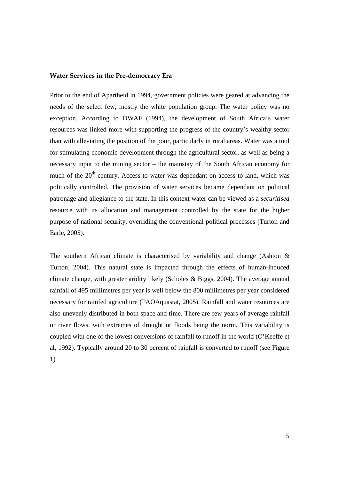#### **Water Services in the Pre-democracy Era**

Prior to the end of Apartheid in 1994, government policies were geared at advancing the needs of the select few, mostly the white population group. The water policy was no exception. According to DWAF (1994), the development of South Africa's water resources was linked more with supporting the progress of the country's wealthy sector than with alleviating the position of the poor, particularly in rural areas. Water was a tool for stimulating economic development through the agricultural sector, as well as being a necessary input to the mining sector – the mainstay of the South African economy for much of the 20<sup>th</sup> century. Access to water was dependant on access to land, which was politically controlled. The provision of water services became dependant on political patronage and allegiance to the state. In this context water can be viewed as a *securitised* resource with its allocation and management controlled by the state for the higher purpose of national security, overriding the conventional political processes (Turton and Earle, 2005).

The southern African climate is characterised by variability and change (Ashton  $\&$ Turton, 2004). This natural state is impacted through the effects of human-induced climate change, with greater aridity likely (Scholes & Biggs, 2004). The average annual rainfall of 495 millimetres per year is well below the 800 millimetres per year considered necessary for rainfed agriculture (FAOAquastat, 2005). Rainfall and water resources are also unevenly distributed in both space and time. There are few years of average rainfall or river flows, with extremes of drought or floods being the norm. This variability is coupled with one of the lowest conversions of rainfall to runoff in the world (O'Keeffe et al, 1992). Typically around 20 to 30 percent of rainfall is converted to runoff (see Figure 1)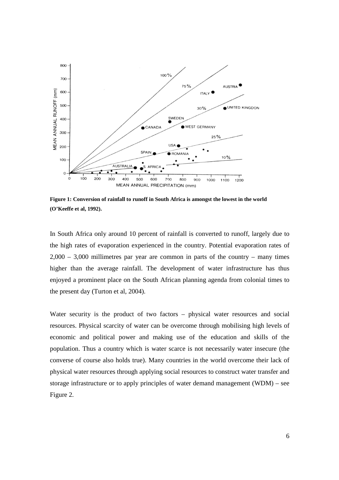

**Figure 1: Conversion of rainfall to runoff in South Africa is amongst the lowest in the world (O'Keeffe et al, 1992).** 

In South Africa only around 10 percent of rainfall is converted to runoff, largely due to the high rates of evaporation experienced in the country. Potential evaporation rates of  $2,000 - 3,000$  millimetres par year are common in parts of the country – many times higher than the average rainfall. The development of water infrastructure has thus enjoyed a prominent place on the South African planning agenda from colonial times to the present day (Turton et al, 2004).

Water security is the product of two factors – physical water resources and social resources. Physical scarcity of water can be overcome through mobilising high levels of economic and political power and making use of the education and skills of the population. Thus a country which is water scarce is not necessarily water insecure (the converse of course also holds true). Many countries in the world overcome their lack of physical water resources through applying social resources to construct water transfer and storage infrastructure or to apply principles of water demand management (WDM) – see Figure 2.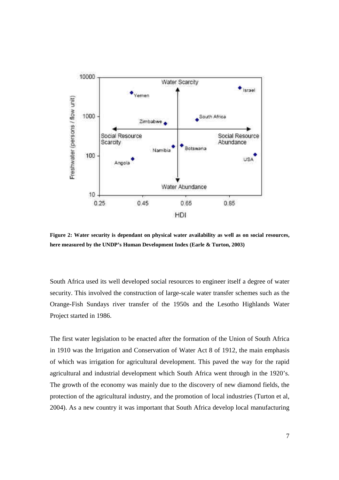

**Figure 2: Water security is dependant on physical water availability as well as on social resources, here measured by the UNDP's Human Development Index (Earle & Turton, 2003)** 

South Africa used its well developed social resources to engineer itself a degree of water security. This involved the construction of large-scale water transfer schemes such as the Orange-Fish Sundays river transfer of the 1950s and the Lesotho Highlands Water Project started in 1986.

The first water legislation to be enacted after the formation of the Union of South Africa in 1910 was the Irrigation and Conservation of Water Act 8 of 1912, the main emphasis of which was irrigation for agricultural development. This paved the way for the rapid agricultural and industrial development which South Africa went through in the 1920's. The growth of the economy was mainly due to the discovery of new diamond fields, the protection of the agricultural industry, and the promotion of local industries (Turton et al, 2004). As a new country it was important that South Africa develop local manufacturing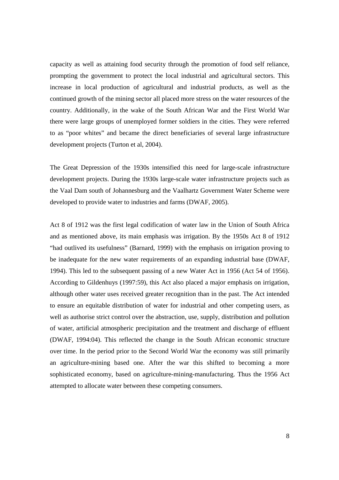capacity as well as attaining food security through the promotion of food self reliance, prompting the government to protect the local industrial and agricultural sectors. This increase in local production of agricultural and industrial products, as well as the continued growth of the mining sector all placed more stress on the water resources of the country. Additionally, in the wake of the South African War and the First World War there were large groups of unemployed former soldiers in the cities. They were referred to as "poor whites" and became the direct beneficiaries of several large infrastructure development projects (Turton et al, 2004).

The Great Depression of the 1930s intensified this need for large-scale infrastructure development projects. During the 1930s large-scale water infrastructure projects such as the Vaal Dam south of Johannesburg and the Vaalhartz Government Water Scheme were developed to provide water to industries and farms (DWAF, 2005).

Act 8 of 1912 was the first legal codification of water law in the Union of South Africa and as mentioned above, its main emphasis was irrigation. By the 1950s Act 8 of 1912 "had outlived its usefulness" (Barnard, 1999) with the emphasis on irrigation proving to be inadequate for the new water requirements of an expanding industrial base (DWAF, 1994). This led to the subsequent passing of a new Water Act in 1956 (Act 54 of 1956). According to Gildenhuys (1997:59), this Act also placed a major emphasis on irrigation, although other water uses received greater recognition than in the past. The Act intended to ensure an equitable distribution of water for industrial and other competing users, as well as authorise strict control over the abstraction, use, supply, distribution and pollution of water, artificial atmospheric precipitation and the treatment and discharge of effluent (DWAF, 1994:04). This reflected the change in the South African economic structure over time. In the period prior to the Second World War the economy was still primarily an agriculture-mining based one. After the war this shifted to becoming a more sophisticated economy, based on agriculture-mining-manufacturing. Thus the 1956 Act attempted to allocate water between these competing consumers.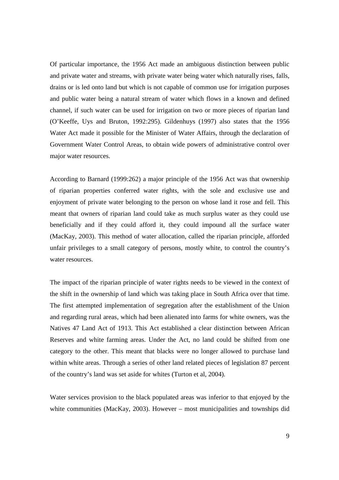Of particular importance, the 1956 Act made an ambiguous distinction between public and private water and streams, with private water being water which naturally rises, falls, drains or is led onto land but which is not capable of common use for irrigation purposes and public water being a natural stream of water which flows in a known and defined channel, if such water can be used for irrigation on two or more pieces of riparian land (O'Keeffe, Uys and Bruton, 1992:295). Gildenhuys (1997) also states that the 1956 Water Act made it possible for the Minister of Water Affairs, through the declaration of Government Water Control Areas, to obtain wide powers of administrative control over major water resources.

According to Barnard (1999:262) a major principle of the 1956 Act was that ownership of riparian properties conferred water rights, with the sole and exclusive use and enjoyment of private water belonging to the person on whose land it rose and fell. This meant that owners of riparian land could take as much surplus water as they could use beneficially and if they could afford it, they could impound all the surface water (MacKay, 2003). This method of water allocation, called the riparian principle, afforded unfair privileges to a small category of persons, mostly white, to control the country's water resources.

The impact of the riparian principle of water rights needs to be viewed in the context of the shift in the ownership of land which was taking place in South Africa over that time. The first attempted implementation of segregation after the establishment of the Union and regarding rural areas, which had been alienated into farms for white owners, was the Natives 47 Land Act of 1913. This Act established a clear distinction between African Reserves and white farming areas. Under the Act, no land could be shifted from one category to the other. This meant that blacks were no longer allowed to purchase land within white areas. Through a series of other land related pieces of legislation 87 percent of the country's land was set aside for whites (Turton et al, 2004).

Water services provision to the black populated areas was inferior to that enjoyed by the white communities (MacKay, 2003). However – most municipalities and townships did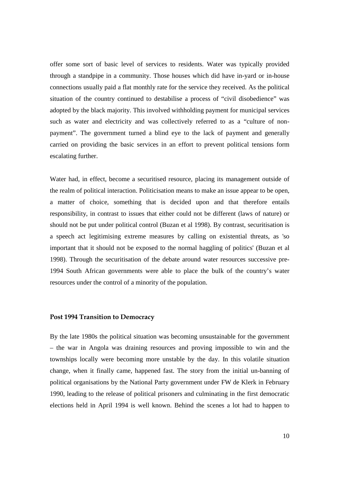offer some sort of basic level of services to residents. Water was typically provided through a standpipe in a community. Those houses which did have in-yard or in-house connections usually paid a flat monthly rate for the service they received. As the political situation of the country continued to destabilise a process of "civil disobedience" was adopted by the black majority. This involved withholding payment for municipal services such as water and electricity and was collectively referred to as a "culture of nonpayment". The government turned a blind eye to the lack of payment and generally carried on providing the basic services in an effort to prevent political tensions form escalating further.

Water had, in effect, become a securitised resource, placing its management outside of the realm of political interaction. Politicisation means to make an issue appear to be open, a matter of choice, something that is decided upon and that therefore entails responsibility, in contrast to issues that either could not be different (laws of nature) or should not be put under political control (Buzan et al 1998). By contrast, securitisation is a speech act legitimising extreme measures by calling on existential threats, as 'so important that it should not be exposed to the normal haggling of politics' (Buzan et al 1998). Through the securitisation of the debate around water resources successive pre-1994 South African governments were able to place the bulk of the country's water resources under the control of a minority of the population.

## **Post 1994 Transition to Democracy**

By the late 1980s the political situation was becoming unsustainable for the government – the war in Angola was draining resources and proving impossible to win and the townships locally were becoming more unstable by the day. In this volatile situation change, when it finally came, happened fast. The story from the initial un-banning of political organisations by the National Party government under FW de Klerk in February 1990, leading to the release of political prisoners and culminating in the first democratic elections held in April 1994 is well known. Behind the scenes a lot had to happen to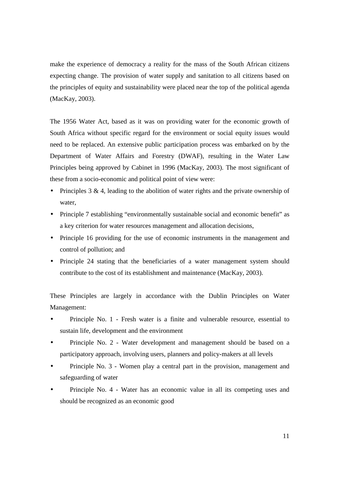make the experience of democracy a reality for the mass of the South African citizens expecting change. The provision of water supply and sanitation to all citizens based on the principles of equity and sustainability were placed near the top of the political agenda (MacKay, 2003).

The 1956 Water Act, based as it was on providing water for the economic growth of South Africa without specific regard for the environment or social equity issues would need to be replaced. An extensive public participation process was embarked on by the Department of Water Affairs and Forestry (DWAF), resulting in the Water Law Principles being approved by Cabinet in 1996 (MacKay, 2003). The most significant of these from a socio-economic and political point of view were:

- Principles 3 & 4, leading to the abolition of water rights and the private ownership of water,
- Principle 7 establishing "environmentally sustainable social and economic benefit" as a key criterion for water resources management and allocation decisions,
- Principle 16 providing for the use of economic instruments in the management and control of pollution; and
- Principle 24 stating that the beneficiaries of a water management system should contribute to the cost of its establishment and maintenance (MacKay, 2003).

These Principles are largely in accordance with the Dublin Principles on Water Management:

- Principle No. 1 Fresh water is a finite and vulnerable resource, essential to sustain life, development and the environment
- Principle No. 2 Water development and management should be based on a participatory approach, involving users, planners and policy-makers at all levels
- Principle No. 3 Women play a central part in the provision, management and safeguarding of water
- Principle No. 4 Water has an economic value in all its competing uses and should be recognized as an economic good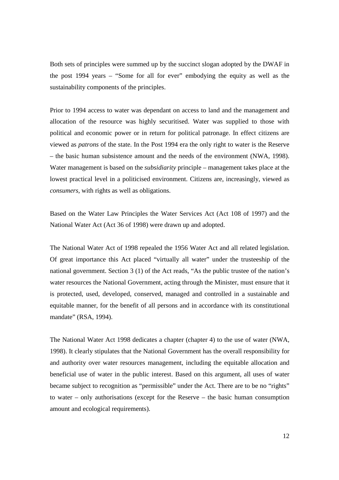Both sets of principles were summed up by the succinct slogan adopted by the DWAF in the post 1994 years – "Some for all for ever" embodying the equity as well as the sustainability components of the principles.

Prior to 1994 access to water was dependant on access to land and the management and allocation of the resource was highly securitised. Water was supplied to those with political and economic power or in return for political patronage. In effect citizens are viewed as *patrons* of the state. In the Post 1994 era the only right to water is the Reserve – the basic human subsistence amount and the needs of the environment (NWA, 1998). Water management is based on the *subsidiarity* principle – management takes place at the lowest practical level in a politicised environment. Citizens are, increasingly, viewed as *consumers,* with rights as well as obligations.

Based on the Water Law Principles the Water Services Act (Act 108 of 1997) and the National Water Act (Act 36 of 1998) were drawn up and adopted.

The National Water Act of 1998 repealed the 1956 Water Act and all related legislation. Of great importance this Act placed "virtually all water" under the trusteeship of the national government. Section 3 (1) of the Act reads, "As the public trustee of the nation's water resources the National Government, acting through the Minister, must ensure that it is protected, used, developed, conserved, managed and controlled in a sustainable and equitable manner, for the benefit of all persons and in accordance with its constitutional mandate" (RSA, 1994).

The National Water Act 1998 dedicates a chapter (chapter 4) to the use of water (NWA, 1998). It clearly stipulates that the National Government has the overall responsibility for and authority over water resources management, including the equitable allocation and beneficial use of water in the public interest. Based on this argument, all uses of water became subject to recognition as "permissible" under the Act. There are to be no "rights" to water – only authorisations (except for the Reserve – the basic human consumption amount and ecological requirements).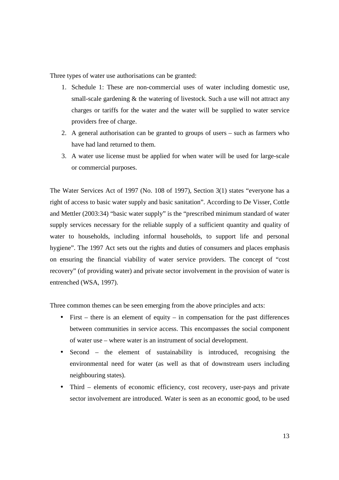Three types of water use authorisations can be granted:

- 1. Schedule 1: These are non-commercial uses of water including domestic use, small-scale gardening & the watering of livestock. Such a use will not attract any charges or tariffs for the water and the water will be supplied to water service providers free of charge.
- 2. A general authorisation can be granted to groups of users such as farmers who have had land returned to them.
- 3. A water use license must be applied for when water will be used for large-scale or commercial purposes.

The Water Services Act of 1997 (No. 108 of 1997), Section 3(1) states "everyone has a right of access to basic water supply and basic sanitation". According to De Visser, Cottle and Mettler (2003:34) "basic water supply" is the "prescribed minimum standard of water supply services necessary for the reliable supply of a sufficient quantity and quality of water to households, including informal households, to support life and personal hygiene". The 1997 Act sets out the rights and duties of consumers and places emphasis on ensuring the financial viability of water service providers. The concept of "cost recovery" (of providing water) and private sector involvement in the provision of water is entrenched (WSA, 1997).

Three common themes can be seen emerging from the above principles and acts:

- First there is an element of equity in compensation for the past differences between communities in service access. This encompasses the social component of water use – where water is an instrument of social development.
- Second the element of sustainability is introduced, recognising the environmental need for water (as well as that of downstream users including neighbouring states).
- Third elements of economic efficiency, cost recovery, user-pays and private sector involvement are introduced. Water is seen as an economic good, to be used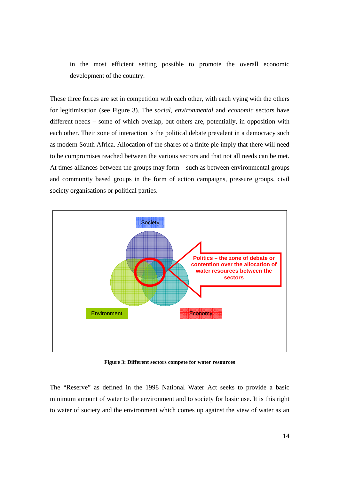in the most efficient setting possible to promote the overall economic development of the country.

These three forces are set in competition with each other, with each vying with the others for legitimisation (see Figure 3). The *social, environmental* and *economic* sectors have different needs – some of which overlap, but others are, potentially, in opposition with each other. Their zone of interaction is the political debate prevalent in a democracy such as modern South Africa. Allocation of the shares of a finite pie imply that there will need to be compromises reached between the various sectors and that not all needs can be met. At times alliances between the groups may form – such as between environmental groups and community based groups in the form of action campaigns, pressure groups, civil society organisations or political parties.



**Figure 3: Different sectors compete for water resources** 

The "Reserve" as defined in the 1998 National Water Act seeks to provide a basic minimum amount of water to the environment and to society for basic use. It is this right to water of society and the environment which comes up against the view of water as an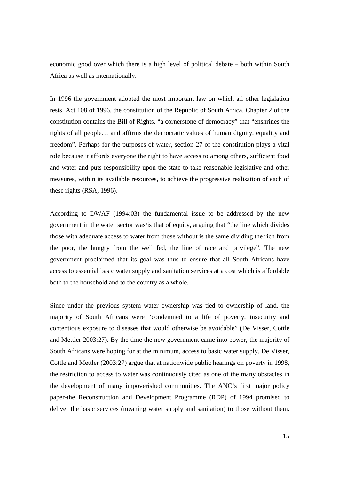economic good over which there is a high level of political debate – both within South Africa as well as internationally.

In 1996 the government adopted the most important law on which all other legislation rests, Act 108 of 1996, the constitution of the Republic of South Africa. Chapter 2 of the constitution contains the Bill of Rights, "a cornerstone of democracy" that "enshrines the rights of all people… and affirms the democratic values of human dignity, equality and freedom". Perhaps for the purposes of water, section 27 of the constitution plays a vital role because it affords everyone the right to have access to among others, sufficient food and water and puts responsibility upon the state to take reasonable legislative and other measures, within its available resources, to achieve the progressive realisation of each of these rights (RSA, 1996).

According to DWAF (1994:03) the fundamental issue to be addressed by the new government in the water sector was/is that of equity, arguing that "the line which divides those with adequate access to water from those without is the same dividing the rich from the poor, the hungry from the well fed, the line of race and privilege". The new government proclaimed that its goal was thus to ensure that all South Africans have access to essential basic water supply and sanitation services at a cost which is affordable both to the household and to the country as a whole.

Since under the previous system water ownership was tied to ownership of land, the majority of South Africans were "condemned to a life of poverty, insecurity and contentious exposure to diseases that would otherwise be avoidable" (De Visser, Cottle and Mettler 2003:27). By the time the new government came into power, the majority of South Africans were hoping for at the minimum, access to basic water supply. De Visser, Cottle and Mettler (2003:27) argue that at nationwide public hearings on poverty in 1998, the restriction to access to water was continuously cited as one of the many obstacles in the development of many impoverished communities. The ANC's first major policy paper-the Reconstruction and Development Programme (RDP) of 1994 promised to deliver the basic services (meaning water supply and sanitation) to those without them.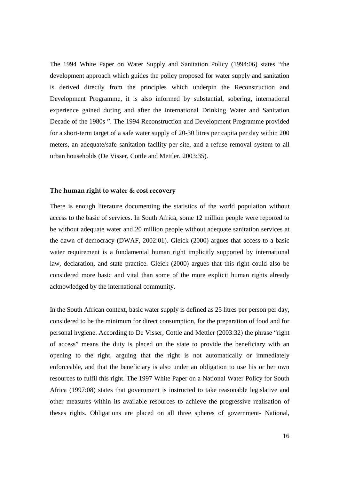The 1994 White Paper on Water Supply and Sanitation Policy (1994:06) states "the development approach which guides the policy proposed for water supply and sanitation is derived directly from the principles which underpin the Reconstruction and Development Programme, it is also informed by substantial, sobering, international experience gained during and after the international Drinking Water and Sanitation Decade of the 1980s ". The 1994 Reconstruction and Development Programme provided for a short-term target of a safe water supply of 20-30 litres per capita per day within 200 meters, an adequate/safe sanitation facility per site, and a refuse removal system to all urban households (De Visser, Cottle and Mettler, 2003:35).

#### **The human right to water & cost recovery**

There is enough literature documenting the statistics of the world population without access to the basic of services. In South Africa, some 12 million people were reported to be without adequate water and 20 million people without adequate sanitation services at the dawn of democracy (DWAF, 2002:01). Gleick (2000) argues that access to a basic water requirement is a fundamental human right implicitly supported by international law, declaration, and state practice. Gleick (2000) argues that this right could also be considered more basic and vital than some of the more explicit human rights already acknowledged by the international community.

In the South African context, basic water supply is defined as 25 litres per person per day, considered to be the minimum for direct consumption, for the preparation of food and for personal hygiene. According to De Visser, Cottle and Mettler (2003:32) the phrase "right of access" means the duty is placed on the state to provide the beneficiary with an opening to the right, arguing that the right is not automatically or immediately enforceable, and that the beneficiary is also under an obligation to use his or her own resources to fulfil this right. The 1997 White Paper on a National Water Policy for South Africa (1997:08) states that government is instructed to take reasonable legislative and other measures within its available resources to achieve the progressive realisation of theses rights. Obligations are placed on all three spheres of government- National,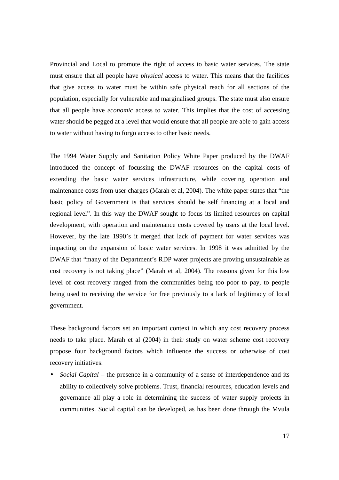Provincial and Local to promote the right of access to basic water services. The state must ensure that all people have *physical* access to water. This means that the facilities that give access to water must be within safe physical reach for all sections of the population, especially for vulnerable and marginalised groups. The state must also ensure that all people have *economic* access to water. This implies that the cost of accessing water should be pegged at a level that would ensure that all people are able to gain access to water without having to forgo access to other basic needs.

The 1994 Water Supply and Sanitation Policy White Paper produced by the DWAF introduced the concept of focussing the DWAF resources on the capital costs of extending the basic water services infrastructure, while covering operation and maintenance costs from user charges (Marah et al, 2004). The white paper states that "the basic policy of Government is that services should be self financing at a local and regional level". In this way the DWAF sought to focus its limited resources on capital development, with operation and maintenance costs covered by users at the local level. However, by the late 1990's it merged that lack of payment for water services was impacting on the expansion of basic water services. In 1998 it was admitted by the DWAF that "many of the Department's RDP water projects are proving unsustainable as cost recovery is not taking place" (Marah et al, 2004). The reasons given for this low level of cost recovery ranged from the communities being too poor to pay, to people being used to receiving the service for free previously to a lack of legitimacy of local government.

These background factors set an important context in which any cost recovery process needs to take place. Marah et al (2004) in their study on water scheme cost recovery propose four background factors which influence the success or otherwise of cost recovery initiatives:

• *Social Capital* – the presence in a community of a sense of interdependence and its ability to collectively solve problems. Trust, financial resources, education levels and governance all play a role in determining the success of water supply projects in communities. Social capital can be developed, as has been done through the Mvula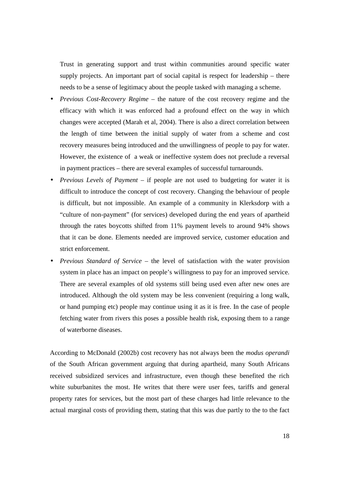Trust in generating support and trust within communities around specific water supply projects. An important part of social capital is respect for leadership – there needs to be a sense of legitimacy about the people tasked with managing a scheme.

- *Previous Cost-Recovery Regime* the nature of the cost recovery regime and the efficacy with which it was enforced had a profound effect on the way in which changes were accepted (Marah et al, 2004). There is also a direct correlation between the length of time between the initial supply of water from a scheme and cost recovery measures being introduced and the unwillingness of people to pay for water. However, the existence of a weak or ineffective system does not preclude a reversal in payment practices – there are several examples of successful turnarounds.
- *Previous Levels of Payment*  if people are not used to budgeting for water it is difficult to introduce the concept of cost recovery. Changing the behaviour of people is difficult, but not impossible. An example of a community in Klerksdorp with a "culture of non-payment" (for services) developed during the end years of apartheid through the rates boycotts shifted from 11% payment levels to around 94% shows that it can be done. Elements needed are improved service, customer education and strict enforcement.
- *Previous Standard of Service*  the level of satisfaction with the water provision system in place has an impact on people's willingness to pay for an improved service. There are several examples of old systems still being used even after new ones are introduced. Although the old system may be less convenient (requiring a long walk, or hand pumping etc) people may continue using it as it is free. In the case of people fetching water from rivers this poses a possible health risk, exposing them to a range of waterborne diseases.

According to McDonald (2002b) cost recovery has not always been the *modus operandi*  of the South African government arguing that during apartheid, many South Africans received subsidized services and infrastructure, even though these benefited the rich white suburbanites the most. He writes that there were user fees, tariffs and general property rates for services, but the most part of these charges had little relevance to the actual marginal costs of providing them, stating that this was due partly to the to the fact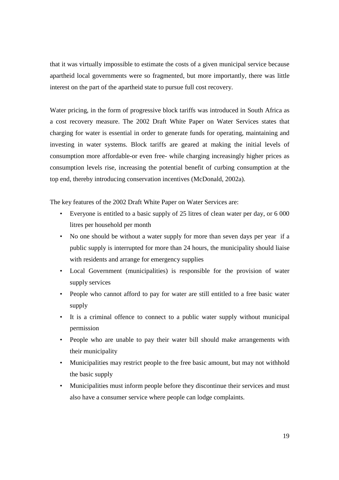that it was virtually impossible to estimate the costs of a given municipal service because apartheid local governments were so fragmented, but more importantly, there was little interest on the part of the apartheid state to pursue full cost recovery.

Water pricing, in the form of progressive block tariffs was introduced in South Africa as a cost recovery measure. The 2002 Draft White Paper on Water Services states that charging for water is essential in order to generate funds for operating, maintaining and investing in water systems. Block tariffs are geared at making the initial levels of consumption more affordable-or even free- while charging increasingly higher prices as consumption levels rise, increasing the potential benefit of curbing consumption at the top end, thereby introducing conservation incentives (McDonald, 2002a).

The key features of the 2002 Draft White Paper on Water Services are:

- Everyone is entitled to a basic supply of 25 litres of clean water per day, or 6 000 litres per household per month
- No one should be without a water supply for more than seven days per year if a public supply is interrupted for more than 24 hours, the municipality should liaise with residents and arrange for emergency supplies
- Local Government (municipalities) is responsible for the provision of water supply services
- People who cannot afford to pay for water are still entitled to a free basic water supply
- It is a criminal offence to connect to a public water supply without municipal permission
- People who are unable to pay their water bill should make arrangements with their municipality
- Municipalities may restrict people to the free basic amount, but may not withhold the basic supply
- Municipalities must inform people before they discontinue their services and must also have a consumer service where people can lodge complaints.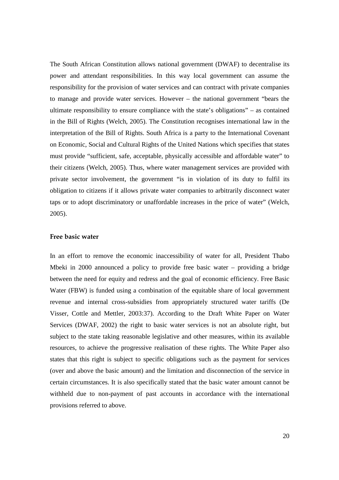The South African Constitution allows national government (DWAF) to decentralise its power and attendant responsibilities. In this way local government can assume the responsibility for the provision of water services and can contract with private companies to manage and provide water services. However – the national government "bears the ultimate responsibility to ensure compliance with the state's obligations" – as contained in the Bill of Rights (Welch, 2005). The Constitution recognises international law in the interpretation of the Bill of Rights. South Africa is a party to the International Covenant on Economic, Social and Cultural Rights of the United Nations which specifies that states must provide "sufficient, safe, acceptable, physically accessible and affordable water" to their citizens (Welch, 2005). Thus, where water management services are provided with private sector involvement, the government "is in violation of its duty to fulfil its obligation to citizens if it allows private water companies to arbitrarily disconnect water taps or to adopt discriminatory or unaffordable increases in the price of water" (Welch, 2005).

#### **Free basic water**

In an effort to remove the economic inaccessibility of water for all, President Thabo Mbeki in 2000 announced a policy to provide free basic water – providing a bridge between the need for equity and redress and the goal of economic efficiency. Free Basic Water (FBW) is funded using a combination of the equitable share of local government revenue and internal cross-subsidies from appropriately structured water tariffs (De Visser, Cottle and Mettler, 2003:37). According to the Draft White Paper on Water Services (DWAF, 2002) the right to basic water services is not an absolute right, but subject to the state taking reasonable legislative and other measures, within its available resources, to achieve the progressive realisation of these rights. The White Paper also states that this right is subject to specific obligations such as the payment for services (over and above the basic amount) and the limitation and disconnection of the service in certain circumstances. It is also specifically stated that the basic water amount cannot be withheld due to non-payment of past accounts in accordance with the international provisions referred to above.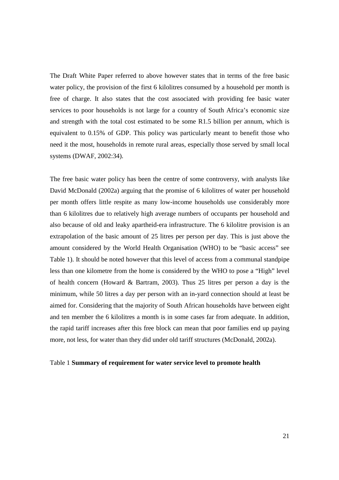The Draft White Paper referred to above however states that in terms of the free basic water policy, the provision of the first 6 kilolitres consumed by a household per month is free of charge. It also states that the cost associated with providing fee basic water services to poor households is not large for a country of South Africa's economic size and strength with the total cost estimated to be some R1.5 billion per annum, which is equivalent to 0.15% of GDP. This policy was particularly meant to benefit those who need it the most, households in remote rural areas, especially those served by small local systems (DWAF, 2002:34).

The free basic water policy has been the centre of some controversy, with analysts like David McDonald (2002a) arguing that the promise of 6 kilolitres of water per household per month offers little respite as many low-income households use considerably more than 6 kilolitres due to relatively high average numbers of occupants per household and also because of old and leaky apartheid-era infrastructure. The 6 kilolitre provision is an extrapolation of the basic amount of 25 litres per person per day. This is just above the amount considered by the World Health Organisation (WHO) to be "basic access" see Table 1). It should be noted however that this level of access from a communal standpipe less than one kilometre from the home is considered by the WHO to pose a "High" level of health concern (Howard & Bartram, 2003). Thus 25 litres per person a day is the minimum, while 50 litres a day per person with an in-yard connection should at least be aimed for. Considering that the majority of South African households have between eight and ten member the 6 kilolitres a month is in some cases far from adequate. In addition, the rapid tariff increases after this free block can mean that poor families end up paying more, not less, for water than they did under old tariff structures (McDonald, 2002a).

#### Table 1 **Summary of requirement for water service level to promote health**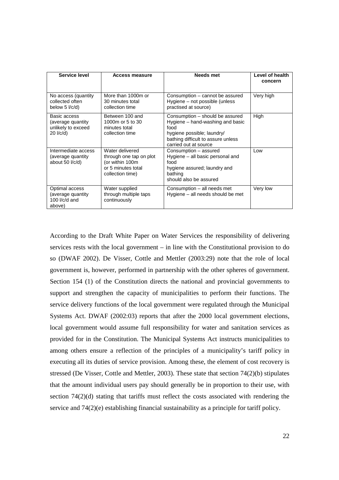| Service level                                                           | Access measure                                                                                          | Needs met                                                                                                                                                                | Level of health<br>concern |
|-------------------------------------------------------------------------|---------------------------------------------------------------------------------------------------------|--------------------------------------------------------------------------------------------------------------------------------------------------------------------------|----------------------------|
| No access (quantity<br>collected often<br>below 5 $1/c/d$ )             | More than 1000m or<br>30 minutes total<br>collection time                                               | Consumption - cannot be assured<br>Hygiene – not possible (unless<br>practised at source)                                                                                | Very high                  |
| Basic access<br>(average quantity)<br>unlikely to exceed<br>$20$ I/c/d) | Between 100 and<br>1000m or 5 to 30<br>minutes total<br>collection time                                 | Consumption – should be assured<br>Hygiene – hand-washing and basic<br>food<br>hygiene possible; laundry/<br>bathing difficult to assure unless<br>carried out at source | High                       |
| Intermediate access<br>(average quantity<br>about 50 l/c/d)             | Water delivered<br>through one tap on plot<br>(or within 100m<br>or 5 minutes total<br>collection time) | Consumption – assured<br>Hygiene – all basic personal and<br>food<br>hygiene assured; laundry and<br>bathing<br>should also be assured                                   | l ow                       |
| Optimal access<br>(average quantity<br>100 $I/c/d$ and<br>above)        | Water supplied<br>through multiple taps<br>continuously                                                 | Consumption – all needs met<br>Hygiene – all needs should be met                                                                                                         | Very low                   |

According to the Draft White Paper on Water Services the responsibility of delivering services rests with the local government – in line with the Constitutional provision to do so (DWAF 2002). De Visser, Cottle and Mettler (2003:29) note that the role of local government is, however, performed in partnership with the other spheres of government. Section 154 (1) of the Constitution directs the national and provincial governments to support and strengthen the capacity of municipalities to perform their functions. The service delivery functions of the local government were regulated through the Municipal Systems Act. DWAF (2002:03) reports that after the 2000 local government elections, local government would assume full responsibility for water and sanitation services as provided for in the Constitution. The Municipal Systems Act instructs municipalities to among others ensure a reflection of the principles of a municipality's tariff policy in executing all its duties of service provision. Among these, the element of cost recovery is stressed (De Visser, Cottle and Mettler, 2003). These state that section 74(2)(b) stipulates that the amount individual users pay should generally be in proportion to their use, with section  $74(2)(d)$  stating that tariffs must reflect the costs associated with rendering the service and 74(2)(e) establishing financial sustainability as a principle for tariff policy.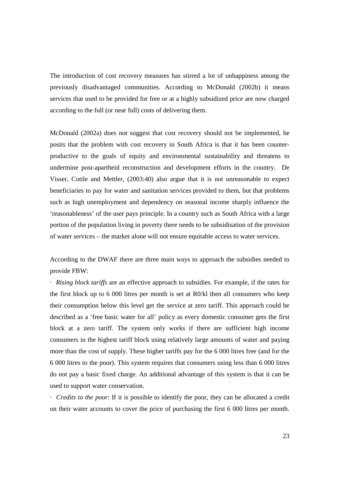The introduction of cost recovery measures has stirred a lot of unhappiness among the previously disadvantaged communities. According to McDonald (2002b) it means services that used to be provided for free or at a highly subsidized price are now charged according to the full (or near full) costs of delivering them.

McDonald (2002a) does not suggest that cost recovery should not be implemented, he posits that the problem with cost recovery in South Africa is that it has been counterproductive to the goals of equity and environmental sustainability and threatens to undermine post-apartheid reconstruction and development efforts in the country. De Visser, Cottle and Mettler, (2003:40) also argue that it is not unreasonable to expect beneficiaries to pay for water and sanitation services provided to them, but that problems such as high unemployment and dependency on seasonal income sharply influence the 'reasonableness' of the user pays principle. In a country such as South Africa with a large portion of the population living in poverty there needs to be subsidisation of the provision of water services – the market alone will not ensure equitable access to water services.

According to the DWAF there are three main ways to approach the subsidies needed to provide FBW:

· *Rising block tariffs* are an effective approach to subsidies. For example, if the rates for the first block up to 6 000 litres per month is set at R0/kl then all consumers who keep their consumption below this level get the service at zero tariff. This approach could be described as a 'free basic water for all' policy as every domestic consumer gets the first block at a zero tariff. The system only works if there are sufficient high income consumers in the highest tariff block using relatively large amounts of water and paying more than the cost of supply. These higher tariffs pay for the 6 000 litres free (and for the 6 000 litres to the poor). This system requires that consumers using less than 6 000 litres do not pay a basic fixed charge. An additional advantage of this system is that it can be used to support water conservation.

· *Credits to the poor*: If it is possible to identify the poor, they can be allocated a credit on their water accounts to cover the price of purchasing the first 6 000 litres per month.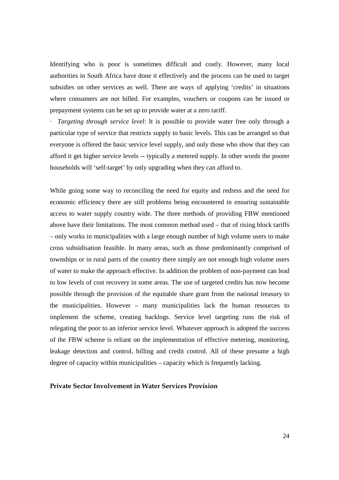Identifying who is poor is sometimes difficult and costly. However, many local authorities in South Africa have done it effectively and the process can be used to target subsidies on other services as well. There are ways of applying 'credits' in situations where consumers are not billed. For examples, vouchers or coupons can be issued or prepayment systems can be set up to provide water at a zero tariff.

· *Targeting through service level*: It is possible to provide water free only through a particular type of service that restricts supply to basic levels. This can be arranged so that everyone is offered the basic service level supply, and only those who show that they can afford it get higher service levels -- typically a metered supply. In other words the poorer households will 'self-target' by only upgrading when they can afford to.

While going some way to reconciling the need for equity and redress and the need for economic efficiency there are still problems being encountered in ensuring sustainable access to water supply country wide. The three methods of providing FBW mentioned above have their limitations. The most common method used – that of rising block tariffs – only works in municipalities with a large enough number of high volume users to make cross subsidisation feasible. In many areas, such as those predominantly comprised of townships or in rural parts of the country there simply are not enough high volume users of water to make the approach effective. In addition the problem of non-payment can lead to low levels of cost recovery in some areas. The use of targeted credits has now become possible through the provision of the equitable share grant from the national treasury to the municipalities. However – many municipalities lack the human resources to implement the scheme, creating backlogs. Service level targeting runs the risk of relegating the poor to an inferior service level. Whatever approach is adopted the success of the FBW scheme is reliant on the implementation of effective metering, monitoring, leakage detection and control, billing and credit control. All of these presume a high degree of capacity within municipalities – capacity which is frequently lacking.

#### **Private Sector Involvement in Water Services Provision**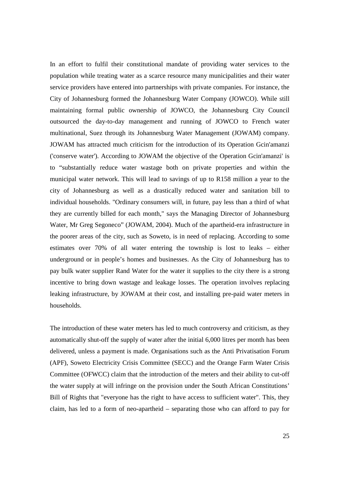In an effort to fulfil their constitutional mandate of providing water services to the population while treating water as a scarce resource many municipalities and their water service providers have entered into partnerships with private companies. For instance, the City of Johannesburg formed the Johannesburg Water Company (JOWCO). While still maintaining formal public ownership of JOWCO, the Johannesburg City Council outsourced the day-to-day management and running of JOWCO to French water multinational, Suez through its Johannesburg Water Management (JOWAM) company. JOWAM has attracted much criticism for the introduction of its Operation Gcin'amanzi ('conserve water'). According to JOWAM the objective of the Operation Gcin'amanzi' is to "substantially reduce water wastage both on private properties and within the municipal water network. This will lead to savings of up to R158 million a year to the city of Johannesburg as well as a drastically reduced water and sanitation bill to individual households. "Ordinary consumers will, in future, pay less than a third of what they are currently billed for each month," says the Managing Director of Johannesburg Water, Mr Greg Segoneco" (JOWAM, 2004). Much of the apartheid-era infrastructure in the poorer areas of the city, such as Soweto, is in need of replacing. According to some estimates over 70% of all water entering the township is lost to leaks – either underground or in people's homes and businesses. As the City of Johannesburg has to pay bulk water supplier Rand Water for the water it supplies to the city there is a strong incentive to bring down wastage and leakage losses. The operation involves replacing leaking infrastructure, by JOWAM at their cost, and installing pre-paid water meters in households.

The introduction of these water meters has led to much controversy and criticism, as they automatically shut-off the supply of water after the initial 6,000 litres per month has been delivered, unless a payment is made. Organisations such as the Anti Privatisation Forum (APF), Soweto Electricity Crisis Committee (SECC) and the Orange Farm Water Crisis Committee (OFWCC) claim that the introduction of the meters and their ability to cut-off the water supply at will infringe on the provision under the South African Constitutions' Bill of Rights that "everyone has the right to have access to sufficient water". This, they claim, has led to a form of neo-apartheid – separating those who can afford to pay for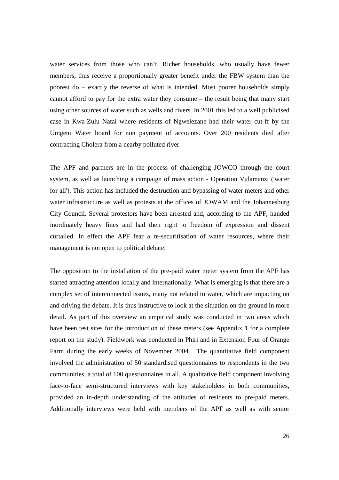water services from those who can't. Richer households, who usually have fewer members, thus receive a proportionally greater benefit under the FBW system than the poorest do – exactly the reverse of what is intended. Most poorer households simply cannot afford to pay for the extra water they consume – the result being that many start using other sources of water such as wells and rivers. In 2001 this led to a well publicised case in Kwa-Zulu Natal where residents of Ngwelezane had their water cut-ff by the Umgeni Water board for non payment of accounts. Over 200 residents died after contracting Cholera from a nearby polluted river.

The APF and partners are in the process of challenging JOWCO through the court system, as well as launching a campaign of mass action - Operation Vulamanzi ('water for all'). This action has included the destruction and bypassing of water meters and other water infrastructure as well as protests at the offices of JOWAM and the Johannesburg City Council. Several protestors have been arrested and, according to the APF, handed inordinately heavy fines and had their right to freedom of expression and dissent curtailed. In effect the APF fear a re-securitisation of water resources, where their management is not open to political debate.

The opposition to the installation of the pre-paid water meter system from the APF has started attracting attention locally and internationally. What is emerging is that there are a complex set of interconnected issues, many not related to water, which are impacting on and driving the debate. It is thus instructive to look at the situation on the ground in more detail. As part of this overview an empirical study was conducted in two areas which have been test sites for the introduction of these meters (see Appendix 1 for a complete report on the study). Fieldwork was conducted in Phiri and in Extension Four of Orange Farm during the early weeks of November 2004. The quantitative field component involved the administration of 50 standardised questionnaires to respondents in the two communities, a total of 100 questionnaires in all. A qualitative field component involving face-to-face semi-structured interviews with key stakeholders in both communities, provided an in-depth understanding of the attitudes of residents to pre-paid meters. Additionally interviews were held with members of the APF as well as with senior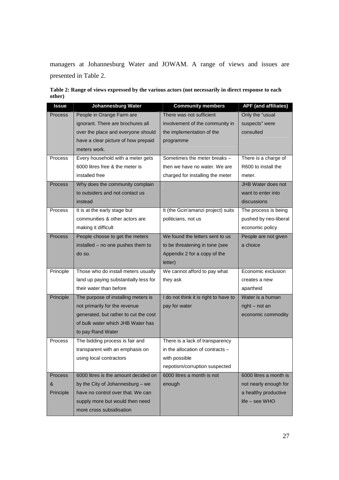managers at Johannesburg Water and JOWAM. A range of views and issues are presented in Table 2.

|        |  | Table 2: Range of views expressed by the various actors (not necessarily in direct response to each |
|--------|--|-----------------------------------------------------------------------------------------------------|
| other) |  |                                                                                                     |

| Issue          | <b>Johannesburg Water</b>             | <b>Community members</b>              | <b>APF</b> (and affiliates) |
|----------------|---------------------------------------|---------------------------------------|-----------------------------|
| Process        | People in Orange Farm are             | There was not sufficient              | Only the "usual             |
|                | ignorant. There are brochures all     | involvement of the community in       | suspects" were              |
|                | over the place and everyone should    | the implementation of the             | consulted                   |
|                | have a clear picture of how prepaid   | programme                             |                             |
|                | meters work.                          |                                       |                             |
| <b>Process</b> | Every household with a meter gets     | Sometimes the meter breaks -          | There is a charge of        |
|                | 6000 litres free & the meter is       | then we have no water. We are         | R600 to install the         |
|                | installed free                        | charged for installing the meter      | meter.                      |
| <b>Process</b> | Why does the community complain       |                                       | JHB Water does not          |
|                | to outsiders and not contact us       |                                       | want to enter into          |
|                | instead                               |                                       | discussions                 |
| Process        | It is at the early stage but          | It (the Gcin'amanzi project) suits    | The process is being        |
|                | communities & other actors are        | politicians, not us                   | pushed by neo-liberal       |
|                | making it difficult                   |                                       | economic policy             |
| <b>Process</b> | People choose to get the meters       | We found the letters sent to us       | People are not given        |
|                | installed - no one pushes them to     | to be threatening in tone (see        | a choice                    |
|                | do so.                                | Appendix 2 for a copy of the          |                             |
|                |                                       | letter)                               |                             |
| Principle      | Those who do install meters usually   | We cannot afford to pay what          | Economic exclusion          |
|                | land up paying substantially less for | they ask                              | creates a new               |
|                | their water than before               |                                       | apartheid                   |
| Principle      | The purpose of installing meters is   | I do not think it is right to have to | Water is a human            |
|                | not primarily for the revenue         | pay for water                         | $right - not an$            |
|                | generated, but rather to cut the cost |                                       | economic commodity          |
|                | of bulk water which JHB Water has     |                                       |                             |
|                | to pay Rand Water                     |                                       |                             |
| Process        | The bidding process is fair and       | There is a lack of transparency       |                             |
|                | transparent with an emphasis on       | in the allocation of contracts -      |                             |
|                | using local contractors               | with possible                         |                             |
|                |                                       | nepotism/corruption suspected         |                             |
| <b>Process</b> | 6000 litres is the amount decided on  | 6000 litres a month is not            | 6000 litres a month is      |
| &              | by the City of Johannesburg - we      | enough                                | not nearly enough for       |
| Principle      | have no control over that. We can     |                                       | a healthy productive        |
|                | supply more but would then need       |                                       | $life - see WHO$            |
|                | more cross subsidisation              |                                       |                             |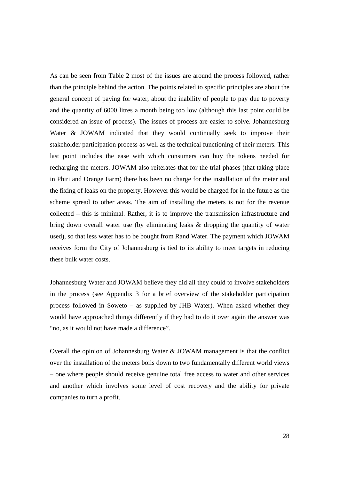As can be seen from Table 2 most of the issues are around the process followed, rather than the principle behind the action. The points related to specific principles are about the general concept of paying for water, about the inability of people to pay due to poverty and the quantity of 6000 litres a month being too low (although this last point could be considered an issue of process). The issues of process are easier to solve. Johannesburg Water & JOWAM indicated that they would continually seek to improve their stakeholder participation process as well as the technical functioning of their meters. This last point includes the ease with which consumers can buy the tokens needed for recharging the meters. JOWAM also reiterates that for the trial phases (that taking place in Phiri and Orange Farm) there has been no charge for the installation of the meter and the fixing of leaks on the property. However this would be charged for in the future as the scheme spread to other areas. The aim of installing the meters is not for the revenue collected – this is minimal. Rather, it is to improve the transmission infrastructure and bring down overall water use (by eliminating leaks & dropping the quantity of water used), so that less water has to be bought from Rand Water. The payment which JOWAM receives form the City of Johannesburg is tied to its ability to meet targets in reducing these bulk water costs.

Johannesburg Water and JOWAM believe they did all they could to involve stakeholders in the process (see Appendix 3 for a brief overview of the stakeholder participation process followed in Soweto – as supplied by JHB Water). When asked whether they would have approached things differently if they had to do it over again the answer was "no, as it would not have made a difference".

Overall the opinion of Johannesburg Water & JOWAM management is that the conflict over the installation of the meters boils down to two fundamentally different world views – one where people should receive genuine total free access to water and other services and another which involves some level of cost recovery and the ability for private companies to turn a profit.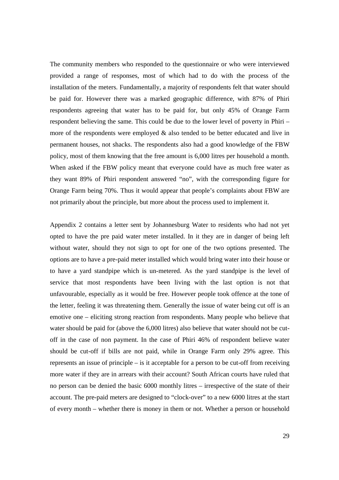The community members who responded to the questionnaire or who were interviewed provided a range of responses, most of which had to do with the process of the installation of the meters. Fundamentally, a majority of respondents felt that water should be paid for. However there was a marked geographic difference, with 87% of Phiri respondents agreeing that water has to be paid for, but only 45% of Orange Farm respondent believing the same. This could be due to the lower level of poverty in Phiri – more of the respondents were employed & also tended to be better educated and live in permanent houses, not shacks. The respondents also had a good knowledge of the FBW policy, most of them knowing that the free amount is 6,000 litres per household a month. When asked if the FBW policy meant that everyone could have as much free water as they want 89% of Phiri respondent answered "no", with the corresponding figure for Orange Farm being 70%. Thus it would appear that people's complaints about FBW are not primarily about the principle, but more about the process used to implement it.

Appendix 2 contains a letter sent by Johannesburg Water to residents who had not yet opted to have the pre paid water meter installed. In it they are in danger of being left without water, should they not sign to opt for one of the two options presented. The options are to have a pre-paid meter installed which would bring water into their house or to have a yard standpipe which is un-metered. As the yard standpipe is the level of service that most respondents have been living with the last option is not that unfavourable, especially as it would be free. However people took offence at the tone of the letter, feeling it was threatening them. Generally the issue of water being cut off is an emotive one – eliciting strong reaction from respondents. Many people who believe that water should be paid for (above the 6,000 litres) also believe that water should not be cutoff in the case of non payment. In the case of Phiri 46% of respondent believe water should be cut-off if bills are not paid, while in Orange Farm only 29% agree. This represents an issue of principle – is it acceptable for a person to be cut-off from receiving more water if they are in arrears with their account? South African courts have ruled that no person can be denied the basic 6000 monthly litres – irrespective of the state of their account. The pre-paid meters are designed to "clock-over" to a new 6000 litres at the start of every month – whether there is money in them or not. Whether a person or household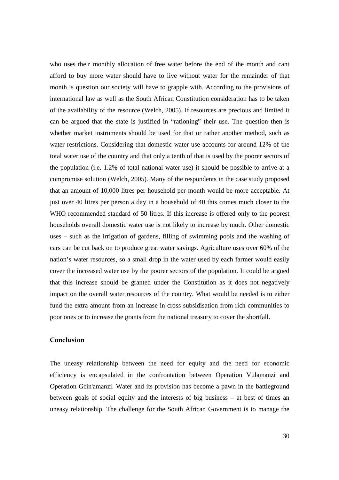who uses their monthly allocation of free water before the end of the month and cant afford to buy more water should have to live without water for the remainder of that month is question our society will have to grapple with. According to the provisions of international law as well as the South African Constitution consideration has to be taken of the availability of the resource (Welch, 2005). If resources are precious and limited it can be argued that the state is justified in "rationing" their use. The question then is whether market instruments should be used for that or rather another method, such as water restrictions. Considering that domestic water use accounts for around 12% of the total water use of the country and that only a tenth of that is used by the poorer sectors of the population (i.e. 1.2% of total national water use) it should be possible to arrive at a compromise solution (Welch, 2005). Many of the respondents in the case study proposed that an amount of 10,000 litres per household per month would be more acceptable. At just over 40 litres per person a day in a household of 40 this comes much closer to the WHO recommended standard of 50 litres. If this increase is offered only to the poorest households overall domestic water use is not likely to increase by much. Other domestic uses – such as the irrigation of gardens, filling of swimming pools and the washing of cars can be cut back on to produce great water savings. Agriculture uses over 60% of the nation's water resources, so a small drop in the water used by each farmer would easily cover the increased water use by the poorer sectors of the population. It could be argued that this increase should be granted under the Constitution as it does not negatively impact on the overall water resources of the country. What would be needed is to either fund the extra amount from an increase in cross subsidisation from rich communities to poor ones or to increase the grants from the national treasury to cover the shortfall.

## **Conclusion**

The uneasy relationship between the need for equity and the need for economic efficiency is encapsulated in the confrontation between Operation Vulamanzi and Operation Gcin'amanzi. Water and its provision has become a pawn in the battleground between goals of social equity and the interests of big business – at best of times an uneasy relationship. The challenge for the South African Government is to manage the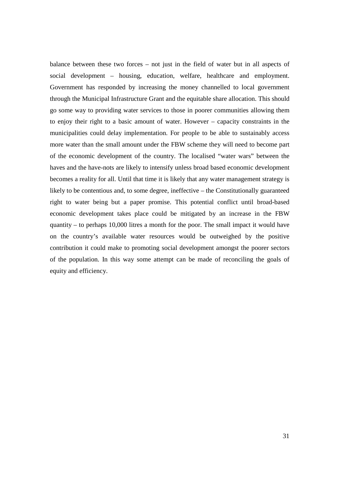balance between these two forces – not just in the field of water but in all aspects of social development – housing, education, welfare, healthcare and employment. Government has responded by increasing the money channelled to local government through the Municipal Infrastructure Grant and the equitable share allocation. This should go some way to providing water services to those in poorer communities allowing them to enjoy their right to a basic amount of water. However – capacity constraints in the municipalities could delay implementation. For people to be able to sustainably access more water than the small amount under the FBW scheme they will need to become part of the economic development of the country. The localised "water wars" between the haves and the have-nots are likely to intensify unless broad based economic development becomes a reality for all. Until that time it is likely that any water management strategy is likely to be contentious and, to some degree, ineffective – the Constitutionally guaranteed right to water being but a paper promise. This potential conflict until broad-based economic development takes place could be mitigated by an increase in the FBW quantity – to perhaps 10,000 litres a month for the poor. The small impact it would have on the country's available water resources would be outweighed by the positive contribution it could make to promoting social development amongst the poorer sectors of the population. In this way some attempt can be made of reconciling the goals of equity and efficiency.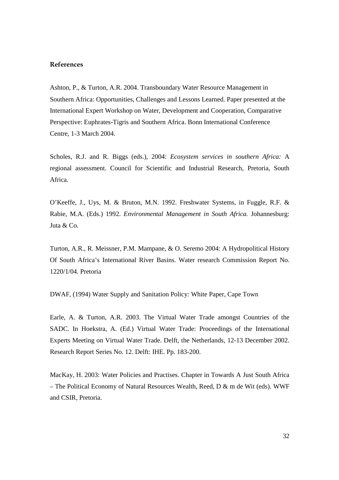## **References**

Ashton, P., & Turton, A.R. 2004. Transboundary Water Resource Management in Southern Africa: Opportunities, Challenges and Lessons Learned. Paper presented at the International Expert Workshop on Water, Development and Cooperation, Comparative Perspective: Euphrates-Tigris and Southern Africa. Bonn International Conference Centre, 1-3 March 2004.

Scholes, R.J. and R. Biggs (eds.), 2004: *Ecosystem services in southern Africa:* A regional assessment. Council for Scientific and Industrial Research, Pretoria, South Africa.

O'Keeffe, J., Uys, M. & Bruton, M.N. 1992. Freshwater Systems, in Fuggle, R.F. & Rabie, M.A. (Eds.) 1992. *Environmental Management in South Africa.* Johannesburg: Juta & Co.

Turton, A.R., R. Meissner, P.M. Mampane, & O. Seremo 2004: A Hydropolitical History Of South Africa's International River Basins. Water research Commission Report No. 1220/1/04. Pretoria

DWAF, (1994) Water Supply and Sanitation Policy: White Paper, Cape Town

Earle, A. & Turton, A.R. 2003. The Virtual Water Trade amongst Countries of the SADC. In Hoekstra, A. (Ed.) Virtual Water Trade: Proceedings of the International Experts Meeting on Virtual Water Trade. Delft, the Netherlands, 12-13 December 2002. Research Report Series No. 12. Delft: IHE. Pp. 183-200.

MacKay, H. 2003: Water Policies and Practises. Chapter in Towards A Just South Africa – The Political Economy of Natural Resources Wealth, Reed, D & m de Wit (eds). WWF and CSIR, Pretoria.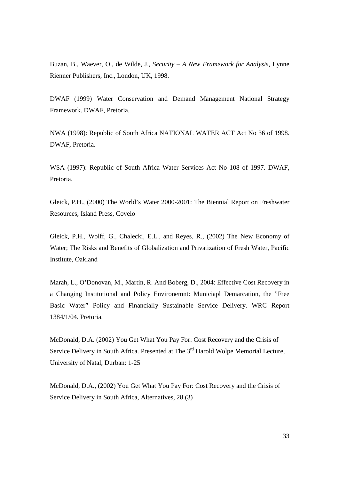Buzan, B., Waever, O., de Wilde, J., *Security – A New Framework for Analysis*, Lynne Rienner Publishers, Inc., London, UK, 1998.

DWAF (1999) Water Conservation and Demand Management National Strategy Framework. DWAF, Pretoria.

NWA (1998): Republic of South Africa NATIONAL WATER ACT Act No 36 of 1998. DWAF, Pretoria.

WSA (1997): Republic of South Africa Water Services Act No 108 of 1997. DWAF, Pretoria.

Gleick, P.H., (2000) The World's Water 2000-2001: The Biennial Report on Freshwater Resources, Island Press, Covelo

Gleick, P.H., Wolff, G., Chalecki, E.L., and Reyes, R., (2002) The New Economy of Water; The Risks and Benefits of Globalization and Privatization of Fresh Water, Pacific Institute, Oakland

Marah, L., O'Donovan, M., Martin, R. And Boberg, D., 2004: Effective Cost Recovery in a Changing Institutional and Policy Environemnt: Municiapl Demarcation, the "Free Basic Water" Policy and Financially Sustainable Service Delivery. WRC Report 1384/1/04. Pretoria.

McDonald, D.A. (2002) You Get What You Pay For: Cost Recovery and the Crisis of Service Delivery in South Africa. Presented at The 3<sup>rd</sup> Harold Wolpe Memorial Lecture, University of Natal, Durban: 1-25

McDonald, D.A., (2002) You Get What You Pay For: Cost Recovery and the Crisis of Service Delivery in South Africa, Alternatives, 28 (3)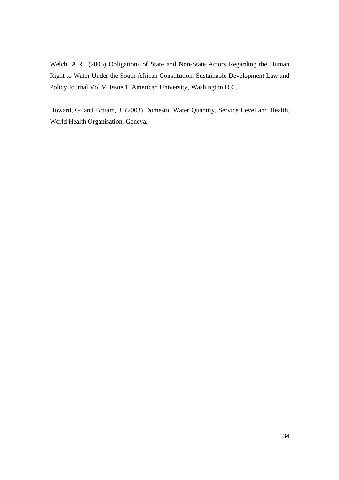Welch, A.R., (2005) Obligations of State and Non-State Actors Regarding the Human Right to Water Under the South African Constitution. Sustainable Development Law and Policy Journal Vol V, Issue 1. American University, Washington D.C.

Howard, G. and Brtram, J. (2003) Domestic Water Quantity, Service Level and Health. World Health Organisation, Geneva.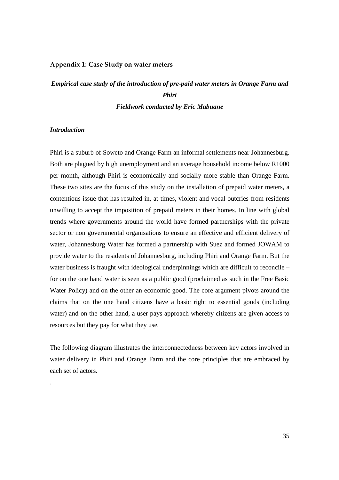#### **Appendix 1: Case Study on water meters**

# *Empirical case study of the introduction of pre-paid water meters in Orange Farm and Phiri Fieldwork conducted by Eric Mabuane*

#### *Introduction*

.

Phiri is a suburb of Soweto and Orange Farm an informal settlements near Johannesburg. Both are plagued by high unemployment and an average household income below R1000 per month, although Phiri is economically and socially more stable than Orange Farm. These two sites are the focus of this study on the installation of prepaid water meters, a contentious issue that has resulted in, at times, violent and vocal outcries from residents unwilling to accept the imposition of prepaid meters in their homes. In line with global trends where governments around the world have formed partnerships with the private sector or non governmental organisations to ensure an effective and efficient delivery of water, Johannesburg Water has formed a partnership with Suez and formed JOWAM to provide water to the residents of Johannesburg, including Phiri and Orange Farm. But the water business is fraught with ideological underpinnings which are difficult to reconcile – for on the one hand water is seen as a public good (proclaimed as such in the Free Basic Water Policy) and on the other an economic good. The core argument pivots around the claims that on the one hand citizens have a basic right to essential goods (including water) and on the other hand, a user pays approach whereby citizens are given access to resources but they pay for what they use.

The following diagram illustrates the interconnectedness between key actors involved in water delivery in Phiri and Orange Farm and the core principles that are embraced by each set of actors.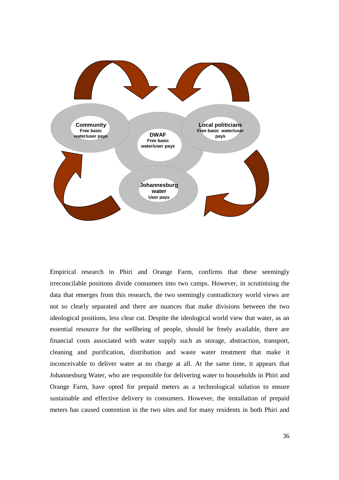

Empirical research in Phiri and Orange Farm, confirms that these seemingly irreconcilable positions divide consumers into two camps. However, in scrutinising the data that emerges from this research, the two seemingly contradictory world views are not so clearly separated and there are nuances that make divisions between the two ideological positions, less clear cut. Despite the ideological world view that water, as an essential resource for the wellbeing of people, should be freely available, there are financial costs associated with water supply such as storage, abstraction, transport, cleaning and purification, distribution and waste water treatment that make it inconceivable to deliver water at no charge at all. At the same time, it appears that Johannesburg Water, who are responsible for delivering water to households in Phiri and Orange Farm, have opted for prepaid meters as a technological solution to ensure sustainable and effective delivery to consumers. However, the installation of prepaid meters has caused contention in the two sites and for many residents in both Phiri and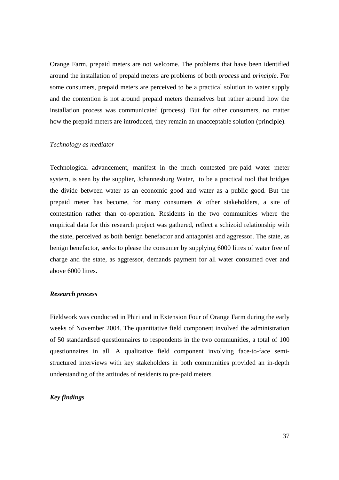Orange Farm, prepaid meters are not welcome. The problems that have been identified around the installation of prepaid meters are problems of both *process* and *principle*. For some consumers, prepaid meters are perceived to be a practical solution to water supply and the contention is not around prepaid meters themselves but rather around how the installation process was communicated (process). But for other consumers, no matter how the prepaid meters are introduced, they remain an unacceptable solution (principle).

#### *Technology as mediator*

Technological advancement, manifest in the much contested pre-paid water meter system, is seen by the supplier, Johannesburg Water, to be a practical tool that bridges the divide between water as an economic good and water as a public good. But the prepaid meter has become, for many consumers & other stakeholders, a site of contestation rather than co-operation. Residents in the two communities where the empirical data for this research project was gathered, reflect a schizoid relationship with the state, perceived as both benign benefactor and antagonist and aggressor. The state, as benign benefactor, seeks to please the consumer by supplying 6000 litres of water free of charge and the state, as aggressor, demands payment for all water consumed over and above 6000 litres.

#### *Research process*

Fieldwork was conducted in Phiri and in Extension Four of Orange Farm during the early weeks of November 2004. The quantitative field component involved the administration of 50 standardised questionnaires to respondents in the two communities, a total of 100 questionnaires in all. A qualitative field component involving face-to-face semistructured interviews with key stakeholders in both communities provided an in-depth understanding of the attitudes of residents to pre-paid meters.

### *Key findings*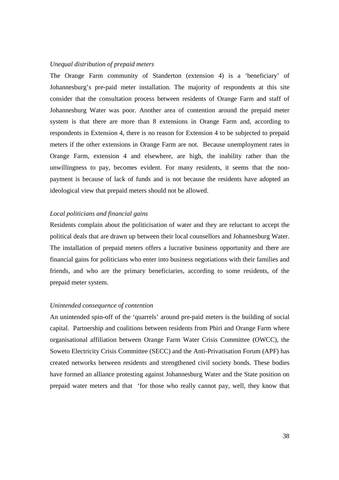#### *Unequal distribution of prepaid meters*

The Orange Farm community of Standerton (extension 4) is a 'beneficiary' of Johannesburg's pre-paid meter installation. The majority of respondents at this site consider that the consultation process between residents of Orange Farm and staff of Johannesburg Water was poor. Another area of contention around the prepaid meter system is that there are more than 8 extensions in Orange Farm and, according to respondents in Extension 4, there is no reason for Extension 4 to be subjected to prepaid meters if the other extensions in Orange Farm are not. Because unemployment rates in Orange Farm, extension 4 and elsewhere, are high, the inability rather than the unwillingness to pay, becomes evident. For many residents, it seems that the nonpayment is because of lack of funds and is not because the residents have adopted an ideological view that prepaid meters should not be allowed.

## *Local politicians and financial gains*

Residents complain about the politicisation of water and they are reluctant to accept the political deals that are drawn up between their local counsellors and Johannesburg Water. The installation of prepaid meters offers a lucrative business opportunity and there are financial gains for politicians who enter into business negotiations with their families and friends, and who are the primary beneficiaries, according to some residents, of the prepaid meter system.

#### *Unintended consequence of contention*

An unintended spin-off of the 'quarrels' around pre-paid meters is the building of social capital. Partnership and coalitions between residents from Phiri and Orange Farm where organisational affiliation between Orange Farm Water Crisis Committee (OWCC), the Soweto Electricity Crisis Committee (SECC) and the Anti-Privatisation Forum (APF) has created networks between residents and strengthened civil society bonds. These bodies have formed an alliance protesting against Johannesburg Water and the State position on prepaid water meters and that 'for those who really cannot pay, well, they know that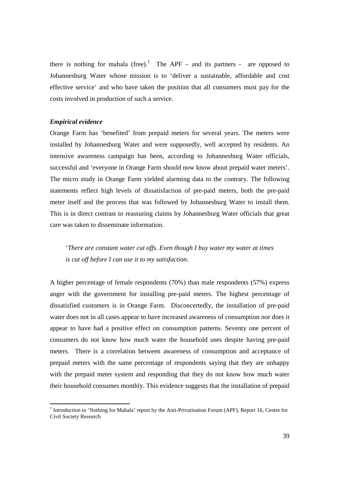there is nothing for mahala (free).<sup>1</sup> The APF – and its partners - are opposed to Johannesburg Water whose mission is to 'deliver a sustainable, affordable and cost effective service' and who have taken the position that all consumers must pay for the costs involved in production of such a service.

### *Empirical evidence*

<u>.</u>

Orange Farm has 'benefited' from prepaid meters for several years. The meters were installed by Johannesburg Water and were supposedly, well accepted by residents. An intensive awareness campaign has been, according to Johannesburg Water officials, successful and 'everyone in Orange Farm should now know about prepaid water meters'. The micro study in Orange Farm yielded alarming data to the contrary. The following statements reflect high levels of dissatisfaction of pre-paid meters, both the pre-paid meter itself and the process that was followed by Johannesburg Water to install them. This is in direct contrast to reassuring claims by Johannesburg Water officials that great care was taken to disseminate information.

*'There are constant water cut offs. Even though I buy water my water at times is cut off before I can use it to my satisfaction.* 

A higher percentage of female respondents (70%) than male respondents (57%) express anger with the government for installing pre-paid meters. The highest percentage of dissatisfied customers is in Orange Farm. Disconcertedly, the installation of pre-paid water does not in all cases appear to have increased awareness of consumption nor does it appear to have had a positive effect on consumption patterns. Seventy one percent of consumers do not know how much water the household uses despite having pre-paid meters. There is a correlation between awareness of consumption and acceptance of prepaid meters with the same percentage of respondents saying that they are unhappy with the prepaid meter system and responding that they do not know how much water their household consumes monthly. This evidence suggests that the installation of prepaid

<sup>&</sup>lt;sup>1</sup> Introduction to 'Nothing for Mahala' report by the Anti-Privatisation Forum (APF), Report 16, Centre for Civil Society Research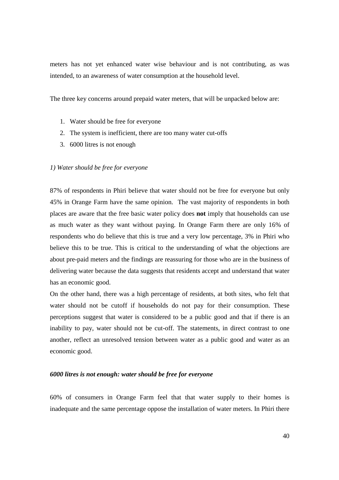meters has not yet enhanced water wise behaviour and is not contributing, as was intended, to an awareness of water consumption at the household level.

The three key concerns around prepaid water meters, that will be unpacked below are:

- 1. Water should be free for everyone
- 2. The system is inefficient, there are too many water cut-offs
- 3. 6000 litres is not enough

#### *1) Water should be free for everyone*

87% of respondents in Phiri believe that water should not be free for everyone but only 45% in Orange Farm have the same opinion. The vast majority of respondents in both places are aware that the free basic water policy does **not** imply that households can use as much water as they want without paying. In Orange Farm there are only 16% of respondents who do believe that this is true and a very low percentage, 3% in Phiri who believe this to be true. This is critical to the understanding of what the objections are about pre-paid meters and the findings are reassuring for those who are in the business of delivering water because the data suggests that residents accept and understand that water has an economic good.

On the other hand, there was a high percentage of residents, at both sites, who felt that water should not be cutoff if households do not pay for their consumption. These perceptions suggest that water is considered to be a public good and that if there is an inability to pay, water should not be cut-off. The statements, in direct contrast to one another, reflect an unresolved tension between water as a public good and water as an economic good.

#### *6000 litres is not enough: water should be free for everyone*

60% of consumers in Orange Farm feel that that water supply to their homes is inadequate and the same percentage oppose the installation of water meters. In Phiri there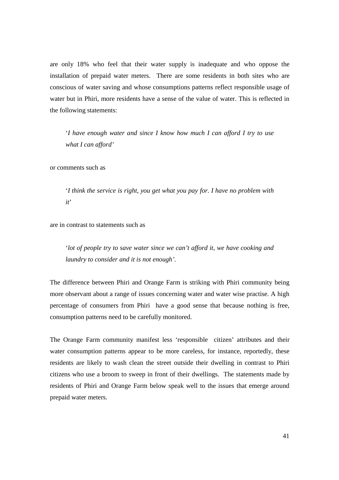are only 18% who feel that their water supply is inadequate and who oppose the installation of prepaid water meters. There are some residents in both sites who are conscious of water saving and whose consumptions patterns reflect responsible usage of water but in Phiri, more residents have a sense of the value of water. This is reflected in the following statements:

'*I have enough water and since I know how much I can afford I try to use what I can afford'*

or comments such as

'*I think the service is right, you get what you pay for. I have no problem with it*'

are in contrast to statements such as

'*lot of people try to save water since we can't afford it, we have cooking and laundry to consider and it is not enough'.* 

The difference between Phiri and Orange Farm is striking with Phiri community being more observant about a range of issues concerning water and water wise practise. A high percentage of consumers from Phiri have a good sense that because nothing is free, consumption patterns need to be carefully monitored.

The Orange Farm community manifest less 'responsible citizen' attributes and their water consumption patterns appear to be more careless, for instance, reportedly, these residents are likely to wash clean the street outside their dwelling in contrast to Phiri citizens who use a broom to sweep in front of their dwellings. The statements made by residents of Phiri and Orange Farm below speak well to the issues that emerge around prepaid water meters.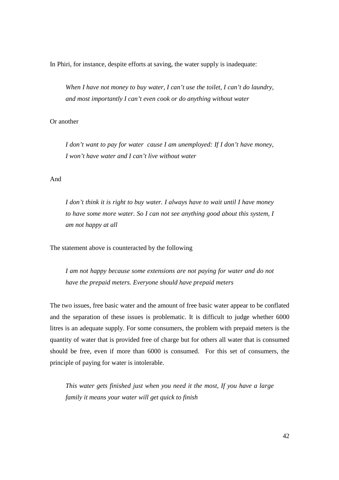In Phiri, for instance, despite efforts at saving, the water supply is inadequate:

*When I have not money to buy water, I can't use the toilet, I can't do laundry, and most importantly I can't even cook or do anything without water* 

## Or another

*I don't want to pay for water cause I am unemployed: If I don't have money, I won't have water and I can't live without water* 

## And

*I don't think it is right to buy water. I always have to wait until I have money to have some more water. So I can not see anything good about this system, I am not happy at all* 

The statement above is counteracted by the following

*I am not happy because some extensions are not paying for water and do not have the prepaid meters. Everyone should have prepaid meters*

The two issues, free basic water and the amount of free basic water appear to be conflated and the separation of these issues is problematic. It is difficult to judge whether 6000 litres is an adequate supply. For some consumers, the problem with prepaid meters is the quantity of water that is provided free of charge but for others all water that is consumed should be free, even if more than 6000 is consumed. For this set of consumers, the principle of paying for water is intolerable.

*This water gets finished just when you need it the most, If you have a large family it means your water will get quick to finish*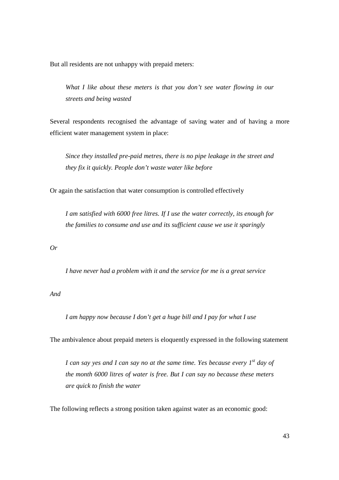But all residents are not unhappy with prepaid meters:

*What I like about these meters is that you don't see water flowing in our streets and being wasted* 

Several respondents recognised the advantage of saving water and of having a more efficient water management system in place:

*Since they installed pre-paid metres, there is no pipe leakage in the street and they fix it quickly. People don't waste water like before* 

Or again the satisfaction that water consumption is controlled effectively

*I am satisfied with 6000 free litres. If I use the water correctly, its enough for the families to consume and use and its sufficient cause we use it sparingly* 

*Or* 

*I have never had a problem with it and the service for me is a great service* 

*And* 

*I am happy now because I don't get a huge bill and I pay for what I use* 

The ambivalence about prepaid meters is eloquently expressed in the following statement

*I can say yes and I can say no at the same time. Yes because every 1st day of the month 6000 litres of water is free. But I can say no because these meters are quick to finish the water* 

The following reflects a strong position taken against water as an economic good: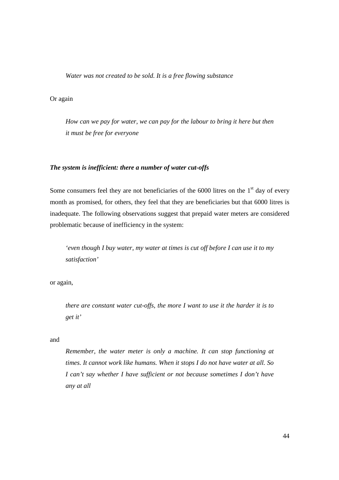*Water was not created to be sold. It is a free flowing substance* 

## Or again

*How can we pay for water, we can pay for the labour to bring it here but then it must be free for everyone* 

#### *The system is inefficient: there a number of water cut-offs*

Some consumers feel they are not beneficiaries of the  $6000$  litres on the  $1<sup>st</sup>$  day of every month as promised, for others, they feel that they are beneficiaries but that 6000 litres is inadequate. The following observations suggest that prepaid water meters are considered problematic because of inefficiency in the system:

*'even though I buy water, my water at times is cut off before I can use it to my satisfaction'* 

or again,

*there are constant water cut-offs, the more I want to use it the harder it is to get it'* 

#### and

*Remember, the water meter is only a machine. It can stop functioning at times. It cannot work like humans. When it stops I do not have water at all. So I can't say whether I have sufficient or not because sometimes I don't have any at all*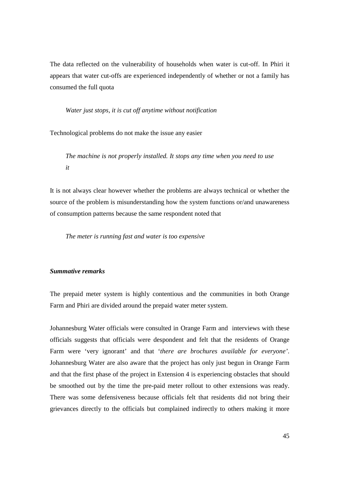The data reflected on the vulnerability of households when water is cut-off. In Phiri it appears that water cut-offs are experienced independently of whether or not a family has consumed the full quota

*Water just stops, it is cut off anytime without notification* 

Technological problems do not make the issue any easier

*The machine is not properly installed. It stops any time when you need to use it* 

It is not always clear however whether the problems are always technical or whether the source of the problem is misunderstanding how the system functions or/and unawareness of consumption patterns because the same respondent noted that

*The meter is running fast and water is too expensive* 

#### *Summative remarks*

The prepaid meter system is highly contentious and the communities in both Orange Farm and Phiri are divided around the prepaid water meter system.

Johannesburg Water officials were consulted in Orange Farm and interviews with these officials suggests that officials were despondent and felt that the residents of Orange Farm were 'very ignorant' and that '*there are brochures available for everyone'*. Johannesburg Water are also aware that the project has only just begun in Orange Farm and that the first phase of the project in Extension 4 is experiencing obstacles that should be smoothed out by the time the pre-paid meter rollout to other extensions was ready. There was some defensiveness because officials felt that residents did not bring their grievances directly to the officials but complained indirectly to others making it more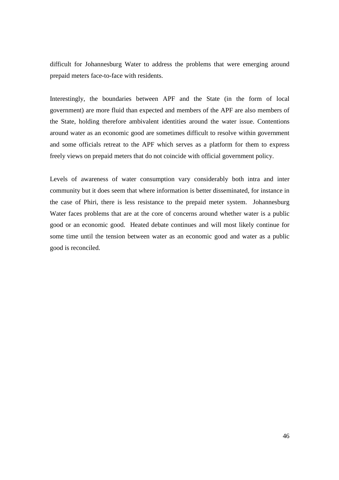difficult for Johannesburg Water to address the problems that were emerging around prepaid meters face-to-face with residents.

Interestingly, the boundaries between APF and the State (in the form of local government) are more fluid than expected and members of the APF are also members of the State, holding therefore ambivalent identities around the water issue. Contentions around water as an economic good are sometimes difficult to resolve within government and some officials retreat to the APF which serves as a platform for them to express freely views on prepaid meters that do not coincide with official government policy.

Levels of awareness of water consumption vary considerably both intra and inter community but it does seem that where information is better disseminated, for instance in the case of Phiri, there is less resistance to the prepaid meter system. Johannesburg Water faces problems that are at the core of concerns around whether water is a public good or an economic good. Heated debate continues and will most likely continue for some time until the tension between water as an economic good and water as a public good is reconciled.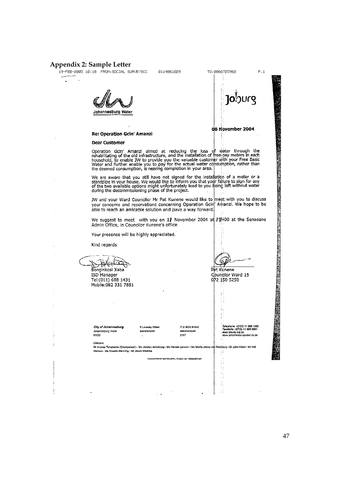# **Appendix 2: Sample Letter**

÷.

0114861029

Johannesburg Water



Re: Operation Gcin' Amanzi

#### **Dear Customer**

Operation Gcin' Amanzi aimed at reducing the loss of water through the rehabilitating of the old infrastructure, and the installation of free-pay meters in each household, to enable JW to provide you the valuable customer

We are aware that you still have not signed for the installation of a meter or a standpipe in your house. We would like to inform you that your failure to sign for any of the two available options might unfortunately lead

JW and your Ward Councilor Mr Pat Kunene would like to meet with you to discuss<br>your concerns and reservations concerning Operation Gcin Amanzi. We hope to be able to reach an amicable solution and pave a way forward.

We suggest to meet with you on 11 November 2004 at  $\frac{1}{2000}$  at the Senaoane Admin Office, in Councilor Kunene's office.

Your presence will be highly appreciated.

Kind regards

Skkela Bonginkosi Xaba ISD Manager

Tel:(011) 688 1431 Mobile:082 331 7851

 $\bar{ }$ 

City of Johannesburg City of Jonannesi<br>Johannesburg Water<br>NSDD

3 Loveday Street Marshalltown

P.O BOX 61542 Marshalltown<br>2107

.<br>Telephone: +27(0) 11 688 1430<br>Facsimile: +27(0) 11 688 6561 www.joburg.org.za<br>www.joburg.org.za

≌

Pat Kunene

V

Ť. ÷

072 150 5250

Councilor Ward 15

Directors

Mr Andries Tshabalala (Chairperson) · Ms Jocelyn Armatrong · Ms Vanida Lennon · Ms Martie Jance van Ronchurg . Dr John Kiloni - Mr Neil Macleod · Ms Rosalie Manning · Mr Jacob Mashike ş,

INJAMICOBIOG WATER (PTY) I TO REG. NO. 2000/02/07 U07

 $\sim$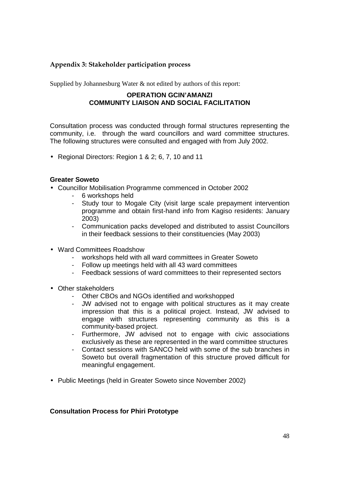## **Appendix 3: Stakeholder participation process**

Supplied by Johannesburg Water & not edited by authors of this report:

## **OPERATION GCIN'AMANZI COMMUNITY LIAISON AND SOCIAL FACILITATION**

Consultation process was conducted through formal structures representing the community, i.e. through the ward councillors and ward committee structures. The following structures were consulted and engaged with from July 2002.

• Regional Directors: Region 1 & 2; 6, 7, 10 and 11

## **Greater Soweto**

- Councillor Mobilisation Programme commenced in October 2002
	- 6 workshops held
	- Study tour to Mogale City (visit large scale prepayment intervention programme and obtain first-hand info from Kagiso residents: January 2003)
	- Communication packs developed and distributed to assist Councillors in their feedback sessions to their constituencies (May 2003)
- Ward Committees Roadshow
	- workshops held with all ward committees in Greater Soweto
	- Follow up meetings held with all 43 ward committees
	- Feedback sessions of ward committees to their represented sectors
- Other stakeholders
	- Other CBOs and NGOs identified and workshopped
	- JW advised not to engage with political structures as it may create impression that this is a political project. Instead, JW advised to engage with structures representing community as this is a community-based project.
	- Furthermore, JW advised not to engage with civic associations exclusively as these are represented in the ward committee structures
	- Contact sessions with SANCO held with some of the sub branches in Soweto but overall fragmentation of this structure proved difficult for meaningful engagement.
- Public Meetings (held in Greater Soweto since November 2002)

## **Consultation Process for Phiri Prototype**